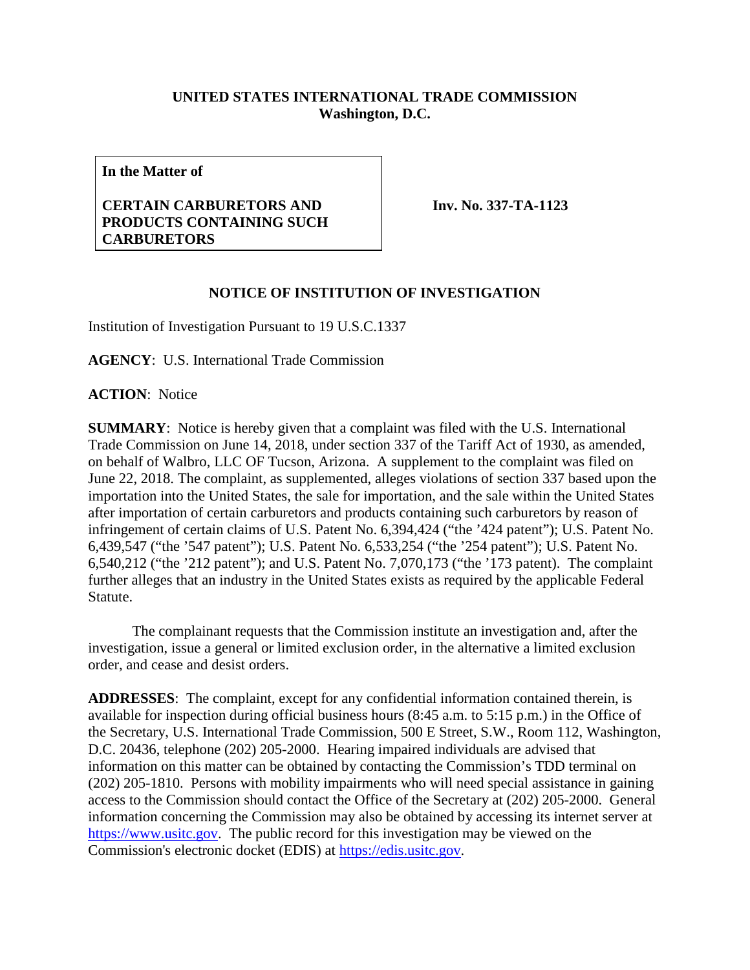## **UNITED STATES INTERNATIONAL TRADE COMMISSION Washington, D.C.**

**In the Matter of**

## **CERTAIN CARBURETORS AND PRODUCTS CONTAINING SUCH CARBURETORS**

**Inv. No. 337-TA-1123**

## **NOTICE OF INSTITUTION OF INVESTIGATION**

Institution of Investigation Pursuant to 19 U.S.C.1337

**AGENCY**: U.S. International Trade Commission

**ACTION**: Notice

**SUMMARY**: Notice is hereby given that a complaint was filed with the U.S. International Trade Commission on June 14, 2018, under section 337 of the Tariff Act of 1930, as amended, on behalf of Walbro, LLC OF Tucson, Arizona. A supplement to the complaint was filed on June 22, 2018. The complaint, as supplemented, alleges violations of section 337 based upon the importation into the United States, the sale for importation, and the sale within the United States after importation of certain carburetors and products containing such carburetors by reason of infringement of certain claims of U.S. Patent No. 6,394,424 ("the '424 patent"); U.S. Patent No. 6,439,547 ("the '547 patent"); U.S. Patent No. 6,533,254 ("the '254 patent"); U.S. Patent No. 6,540,212 ("the '212 patent"); and U.S. Patent No. 7,070,173 ("the '173 patent). The complaint further alleges that an industry in the United States exists as required by the applicable Federal Statute.

The complainant requests that the Commission institute an investigation and, after the investigation, issue a general or limited exclusion order, in the alternative a limited exclusion order, and cease and desist orders.

**ADDRESSES**: The complaint, except for any confidential information contained therein, is available for inspection during official business hours (8:45 a.m. to 5:15 p.m.) in the Office of the Secretary, U.S. International Trade Commission, 500 E Street, S.W., Room 112, Washington, D.C. 20436, telephone (202) 205-2000. Hearing impaired individuals are advised that information on this matter can be obtained by contacting the Commission's TDD terminal on (202) 205-1810. Persons with mobility impairments who will need special assistance in gaining access to the Commission should contact the Office of the Secretary at (202) 205-2000. General information concerning the Commission may also be obtained by accessing its internet server at [https://www.usitc.gov.](https://www.usitc.gov/) The public record for this investigation may be viewed on the Commission's electronic docket (EDIS) at [https://edis.usitc.gov.](https://edis.usitc.gov/)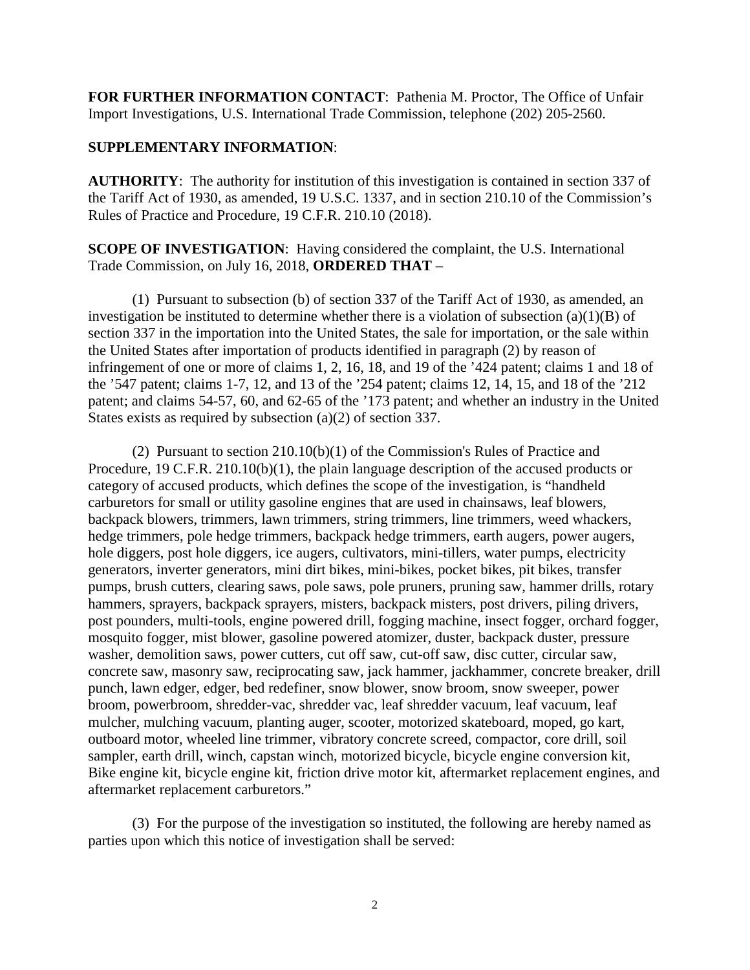**FOR FURTHER INFORMATION CONTACT**: Pathenia M. Proctor, The Office of Unfair Import Investigations, U.S. International Trade Commission, telephone (202) 205-2560.

## **SUPPLEMENTARY INFORMATION**:

**AUTHORITY**: The authority for institution of this investigation is contained in section 337 of the Tariff Act of 1930, as amended, 19 U.S.C. 1337, and in section 210.10 of the Commission's Rules of Practice and Procedure, 19 C.F.R. 210.10 (2018).

**SCOPE OF INVESTIGATION**: Having considered the complaint, the U.S. International Trade Commission, on July 16, 2018, **ORDERED THAT** –

(1) Pursuant to subsection (b) of section 337 of the Tariff Act of 1930, as amended, an investigation be instituted to determine whether there is a violation of subsection (a)(1)(B) of section 337 in the importation into the United States, the sale for importation, or the sale within the United States after importation of products identified in paragraph (2) by reason of infringement of one or more of claims 1, 2, 16, 18, and 19 of the '424 patent; claims 1 and 18 of the '547 patent; claims 1-7, 12, and 13 of the '254 patent; claims 12, 14, 15, and 18 of the '212 patent; and claims 54-57, 60, and 62-65 of the '173 patent; and whether an industry in the United States exists as required by subsection (a)(2) of section 337.

(2) Pursuant to section 210.10(b)(1) of the Commission's Rules of Practice and Procedure, 19 C.F.R. 210.10(b)(1), the plain language description of the accused products or category of accused products, which defines the scope of the investigation, is "handheld carburetors for small or utility gasoline engines that are used in chainsaws, leaf blowers, backpack blowers, trimmers, lawn trimmers, string trimmers, line trimmers, weed whackers, hedge trimmers, pole hedge trimmers, backpack hedge trimmers, earth augers, power augers, hole diggers, post hole diggers, ice augers, cultivators, mini-tillers, water pumps, electricity generators, inverter generators, mini dirt bikes, mini-bikes, pocket bikes, pit bikes, transfer pumps, brush cutters, clearing saws, pole saws, pole pruners, pruning saw, hammer drills, rotary hammers, sprayers, backpack sprayers, misters, backpack misters, post drivers, piling drivers, post pounders, multi-tools, engine powered drill, fogging machine, insect fogger, orchard fogger, mosquito fogger, mist blower, gasoline powered atomizer, duster, backpack duster, pressure washer, demolition saws, power cutters, cut off saw, cut-off saw, disc cutter, circular saw, concrete saw, masonry saw, reciprocating saw, jack hammer, jackhammer, concrete breaker, drill punch, lawn edger, edger, bed redefiner, snow blower, snow broom, snow sweeper, power broom, powerbroom, shredder-vac, shredder vac, leaf shredder vacuum, leaf vacuum, leaf mulcher, mulching vacuum, planting auger, scooter, motorized skateboard, moped, go kart, outboard motor, wheeled line trimmer, vibratory concrete screed, compactor, core drill, soil sampler, earth drill, winch, capstan winch, motorized bicycle, bicycle engine conversion kit, Bike engine kit, bicycle engine kit, friction drive motor kit, aftermarket replacement engines, and aftermarket replacement carburetors."

(3) For the purpose of the investigation so instituted, the following are hereby named as parties upon which this notice of investigation shall be served: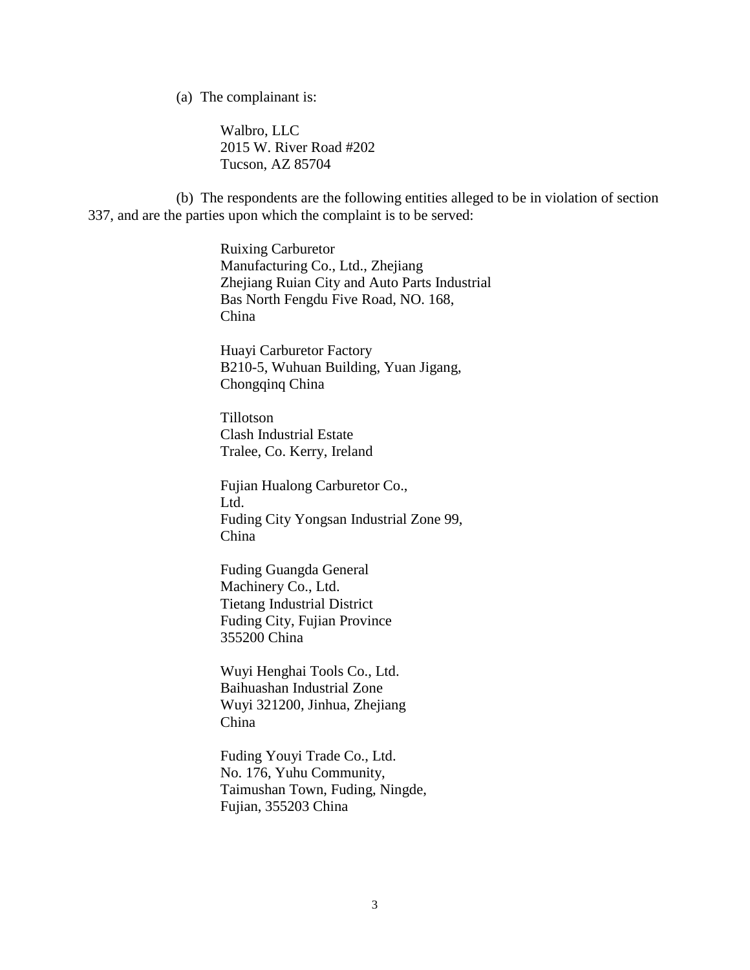(a) The complainant is:

Walbro, LLC 2015 W. River Road #202 Tucson, AZ 85704

(b) The respondents are the following entities alleged to be in violation of section 337, and are the parties upon which the complaint is to be served:

> Ruixing Carburetor Manufacturing Co., Ltd., Zhejiang Zhejiang Ruian City and Auto Parts Industrial Bas North Fengdu Five Road, NO. 168, China

Huayi Carburetor Factory B210-5, Wuhuan Building, Yuan Jigang, Chongqinq China

Tillotson Clash Industrial Estate Tralee, Co. Kerry, Ireland

Fujian Hualong Carburetor Co., Ltd. Fuding City Yongsan Industrial Zone 99, China

Fuding Guangda General Machinery Co., Ltd. Tietang Industrial District Fuding City, Fujian Province 355200 China

Wuyi Henghai Tools Co., Ltd. Baihuashan Industrial Zone Wuyi 321200, Jinhua, Zhejiang China

Fuding Youyi Trade Co., Ltd. No. 176, Yuhu Community, Taimushan Town, Fuding, Ningde, Fujian, 355203 China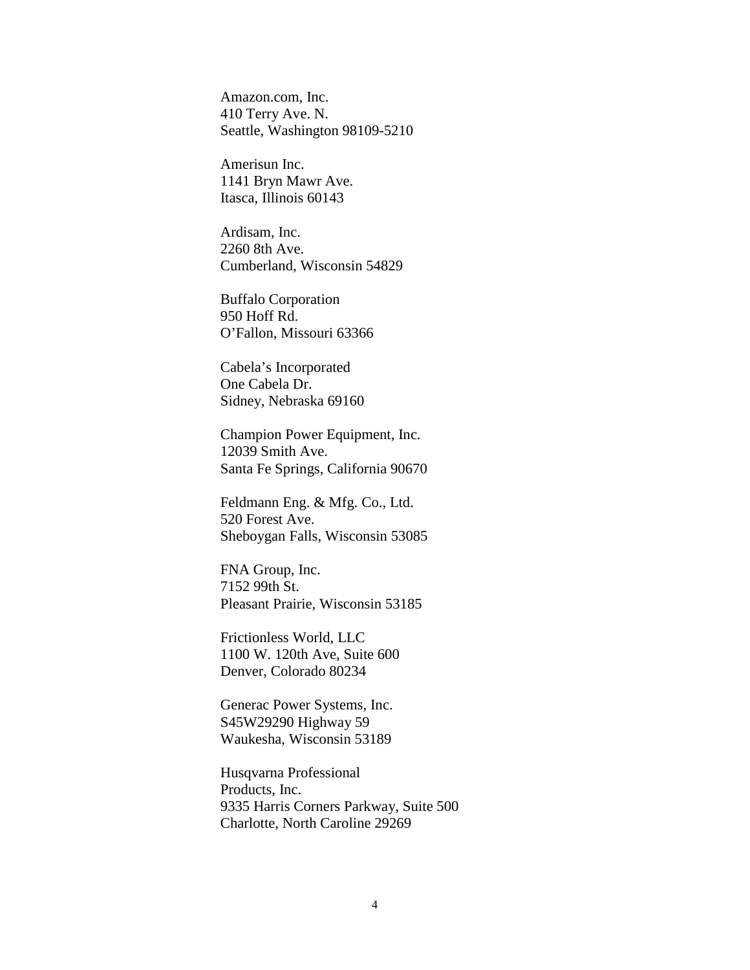Amazon.com, Inc. 410 Terry Ave. N. Seattle, Washington 98109-5210

Amerisun Inc. 1141 Bryn Mawr Ave. Itasca, Illinois 60143

Ardisam, Inc. 2260 8th Ave. Cumberland, Wisconsin 54829

Buffalo Corporation 950 Hoff Rd. O'Fallon, Missouri 63366

Cabela's Incorporated One Cabela Dr. Sidney, Nebraska 69160

Champion Power Equipment, Inc. 12039 Smith Ave. Santa Fe Springs, California 90670

Feldmann Eng. & Mfg. Co., Ltd. 520 Forest Ave. Sheboygan Falls, Wisconsin 53085

FNA Group, Inc. 7152 99th St. Pleasant Prairie, Wisconsin 53185

Frictionless World, LLC 1100 W. 120th Ave, Suite 600 Denver, Colorado 80234

Generac Power Systems, Inc. S45W29290 Highway 59 Waukesha, Wisconsin 53189

Husqvarna Professional Products, Inc. 9335 Harris Corners Parkway, Suite 500 Charlotte, North Caroline 29269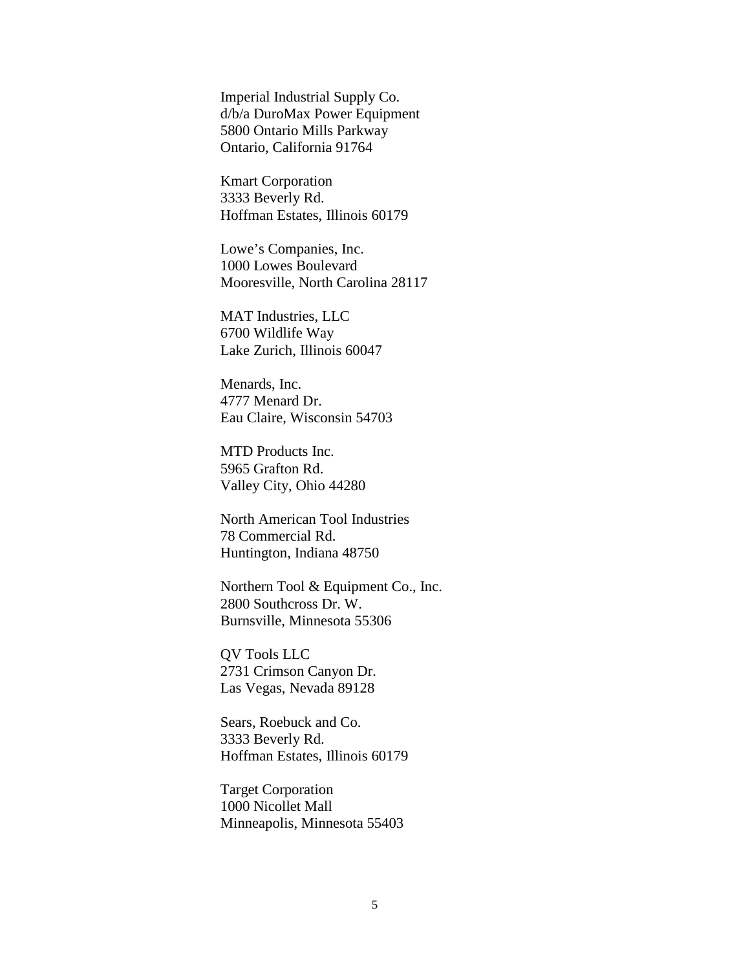Imperial Industrial Supply Co. d/b/a DuroMax Power Equipment 5800 Ontario Mills Parkway Ontario, California 91764

Kmart Corporation 3333 Beverly Rd. Hoffman Estates, Illinois 60179

Lowe's Companies, Inc. 1000 Lowes Boulevard Mooresville, North Carolina 28117

MAT Industries, LLC 6700 Wildlife Way Lake Zurich, Illinois 60047

Menards, Inc. 4777 Menard Dr. Eau Claire, Wisconsin 54703

MTD Products Inc. 5965 Grafton Rd. Valley City, Ohio 44280

North American Tool Industries 78 Commercial Rd. Huntington, Indiana 48750

Northern Tool & Equipment Co., Inc. 2800 Southcross Dr. W. Burnsville, Minnesota 55306

QV Tools LLC 2731 Crimson Canyon Dr. Las Vegas, Nevada 89128

Sears, Roebuck and Co. 3333 Beverly Rd. Hoffman Estates, Illinois 60179

Target Corporation 1000 Nicollet Mall Minneapolis, Minnesota 55403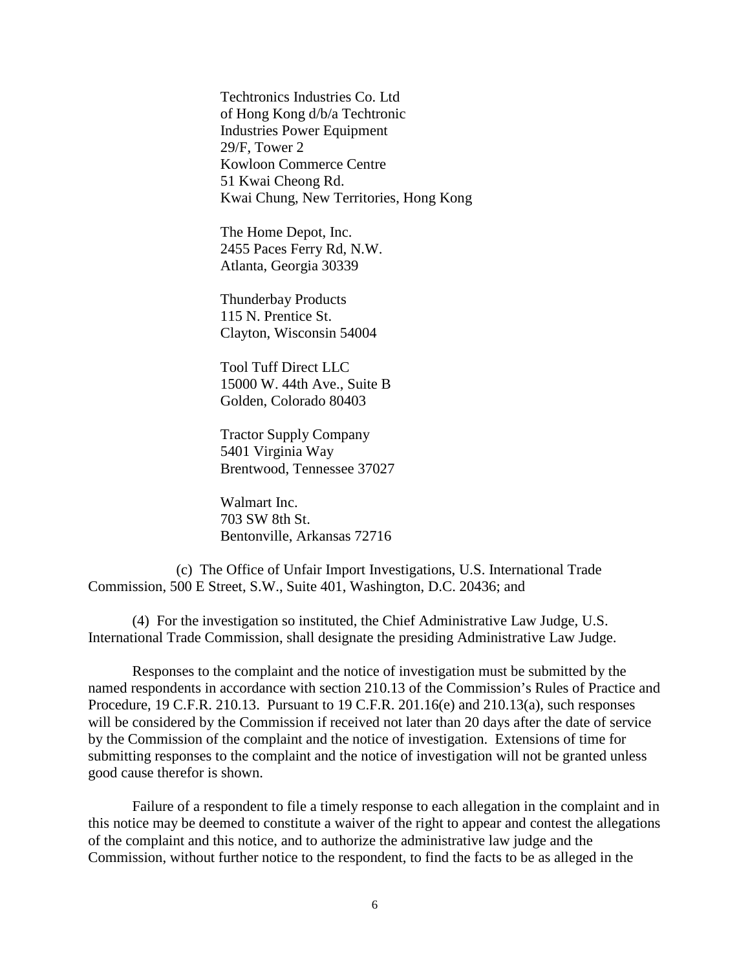Techtronics Industries Co. Ltd of Hong Kong d/b/a Techtronic Industries Power Equipment 29/F, Tower 2 Kowloon Commerce Centre 51 Kwai Cheong Rd. Kwai Chung, New Territories, Hong Kong

The Home Depot, Inc. 2455 Paces Ferry Rd, N.W. Atlanta, Georgia 30339

Thunderbay Products 115 N. Prentice St. Clayton, Wisconsin 54004

Tool Tuff Direct LLC 15000 W. 44th Ave., Suite B Golden, Colorado 80403

Tractor Supply Company 5401 Virginia Way Brentwood, Tennessee 37027

Walmart Inc. 703 SW 8th St. Bentonville, Arkansas 72716

(c) The Office of Unfair Import Investigations, U.S. International Trade Commission, 500 E Street, S.W., Suite 401, Washington, D.C. 20436; and

(4) For the investigation so instituted, the Chief Administrative Law Judge, U.S. International Trade Commission, shall designate the presiding Administrative Law Judge.

Responses to the complaint and the notice of investigation must be submitted by the named respondents in accordance with section 210.13 of the Commission's Rules of Practice and Procedure, 19 C.F.R. 210.13. Pursuant to 19 C.F.R. 201.16(e) and 210.13(a), such responses will be considered by the Commission if received not later than 20 days after the date of service by the Commission of the complaint and the notice of investigation. Extensions of time for submitting responses to the complaint and the notice of investigation will not be granted unless good cause therefor is shown.

Failure of a respondent to file a timely response to each allegation in the complaint and in this notice may be deemed to constitute a waiver of the right to appear and contest the allegations of the complaint and this notice, and to authorize the administrative law judge and the Commission, without further notice to the respondent, to find the facts to be as alleged in the